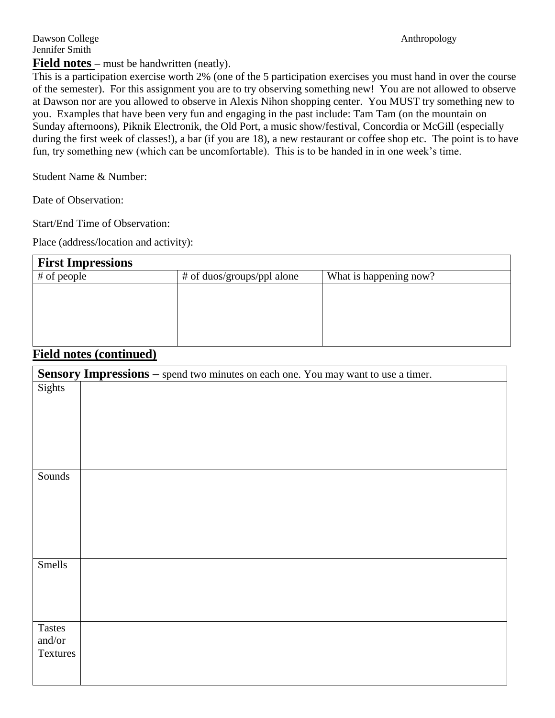## **Field notes** – must be handwritten (neatly).

This is a participation exercise worth 2% (one of the 5 participation exercises you must hand in over the course of the semester). For this assignment you are to try observing something new! You are not allowed to observe at Dawson nor are you allowed to observe in Alexis Nihon shopping center. You MUST try something new to you. Examples that have been very fun and engaging in the past include: Tam Tam (on the mountain on Sunday afternoons), Piknik Electronik, the Old Port, a music show/festival, Concordia or McGill (especially during the first week of classes!), a bar (if you are 18), a new restaurant or coffee shop etc. The point is to have fun, try something new (which can be uncomfortable). This is to be handed in in one week's time.

Student Name & Number:

Date of Observation:

Start/End Time of Observation:

Place (address/location and activity):

| <b>First Impressions</b> |                            |                        |
|--------------------------|----------------------------|------------------------|
| # of people              | # of duos/groups/ppl alone | What is happening now? |
|                          |                            |                        |
|                          |                            |                        |
|                          |                            |                        |
|                          |                            |                        |
|                          |                            |                        |

## **Field notes (continued)**

|                                            | Sensory Impressions - spend two minutes on each one. You may want to use a timer. |
|--------------------------------------------|-----------------------------------------------------------------------------------|
| Sights                                     |                                                                                   |
|                                            |                                                                                   |
| Sounds                                     |                                                                                   |
|                                            |                                                                                   |
| Smells                                     |                                                                                   |
| <b>Tastes</b><br>and/or<br><b>Textures</b> |                                                                                   |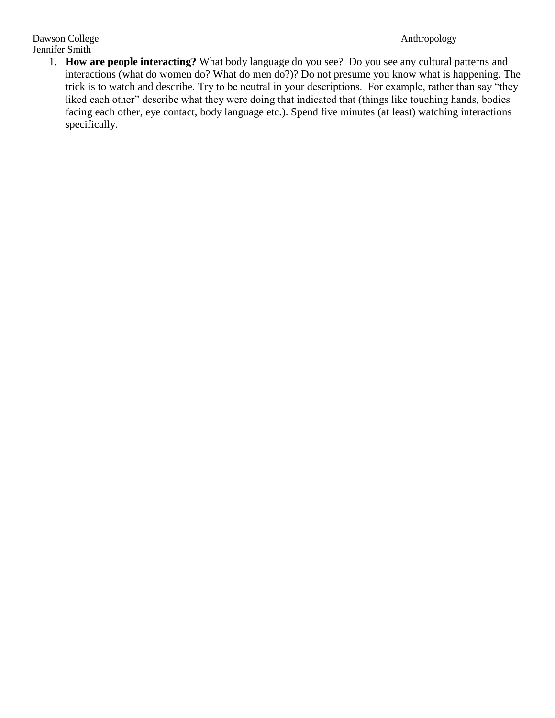Dawson College Anthropology Jennifer Smith

1. **How are people interacting?** What body language do you see? Do you see any cultural patterns and interactions (what do women do? What do men do?)? Do not presume you know what is happening. The trick is to watch and describe. Try to be neutral in your descriptions. For example, rather than say "they liked each other" describe what they were doing that indicated that (things like touching hands, bodies facing each other, eye contact, body language etc.). Spend five minutes (at least) watching interactions specifically.